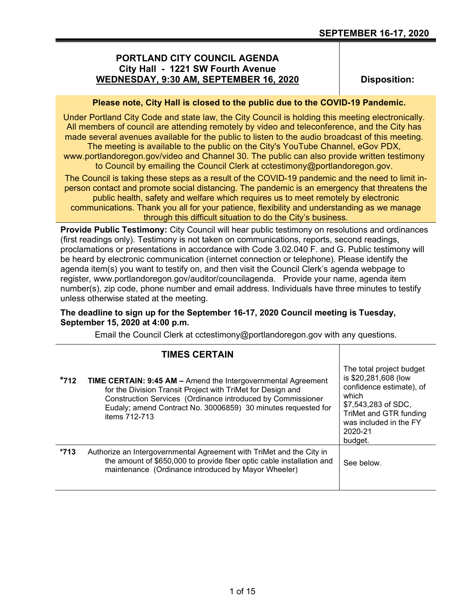# **PORTLAND CITY COUNCIL AGENDA City Hall - 1221 SW Fourth Avenue WEDNESDAY, 9:30 AM, SEPTEMBER 16, 2020**

**Disposition:**

## **Please note, City Hall is closed to the public due to the COVID-19 Pandemic.**

Under Portland City Code and state law, the City Council is holding this meeting electronically. All members of council are attending remotely by video and teleconference, and the City has made several avenues available for the public to listen to the audio broadcast of this meeting.

The meeting is available to the public on the City's YouTube Channel, eGov PDX, www.portlandoregon.gov/video and Channel 30. The public can also provide written testimony to Council by emailing the Council Clerk at cctestimony@portlandoregon.gov.

The Council is taking these steps as a result of the COVID-19 pandemic and the need to limit inperson contact and promote social distancing. The pandemic is an emergency that threatens the public health, safety and welfare which requires us to meet remotely by electronic

communications. Thank you all for your patience, flexibility and understanding as we manage through this difficult situation to do the City's business.

**Provide Public Testimony:** City Council will hear public testimony on resolutions and ordinances (first readings only). Testimony is not taken on communications, reports, second readings, proclamations or presentations in accordance with Code 3.02.040 F. and G. Public testimony will be heard by electronic communication (internet connection or telephone). Please identify the agenda item(s) you want to testify on, and then visit the Council Clerk's agenda webpage to register, www.portlandoregon.gov/auditor/councilagenda. Provide your name, agenda item number(s), zip code, phone number and email address. Individuals have three minutes to testify unless otherwise stated at the meeting.

## **The deadline to sign up for the September 16-17, 2020 Council meeting is Tuesday, September 15, 2020 at 4:00 p.m.**

Email the Council Clerk at cctestimony@portlandoregon.gov with any questions.

|        | <b>TIMES CERTAIN</b>                                                                                                                                                                                                                                                                 |                                                                                                                                                                                        |
|--------|--------------------------------------------------------------------------------------------------------------------------------------------------------------------------------------------------------------------------------------------------------------------------------------|----------------------------------------------------------------------------------------------------------------------------------------------------------------------------------------|
| $*712$ | <b>TIME CERTAIN: 9:45 AM - Amend the Intergovernmental Agreement</b><br>for the Division Transit Project with TriMet for Design and<br>Construction Services (Ordinance introduced by Commissioner<br>Eudaly; amend Contract No. 30006859) 30 minutes requested for<br>items 712-713 | The total project budget<br>is \$20,281,608 (low<br>confidence estimate), of<br>which<br>\$7,543,283 of SDC,<br>TriMet and GTR funding<br>was included in the FY<br>2020-21<br>budget. |
| *713   | Authorize an Intergovernmental Agreement with TriMet and the City in<br>the amount of \$650,000 to provide fiber optic cable installation and<br>maintenance (Ordinance introduced by Mayor Wheeler)                                                                                 | See below.                                                                                                                                                                             |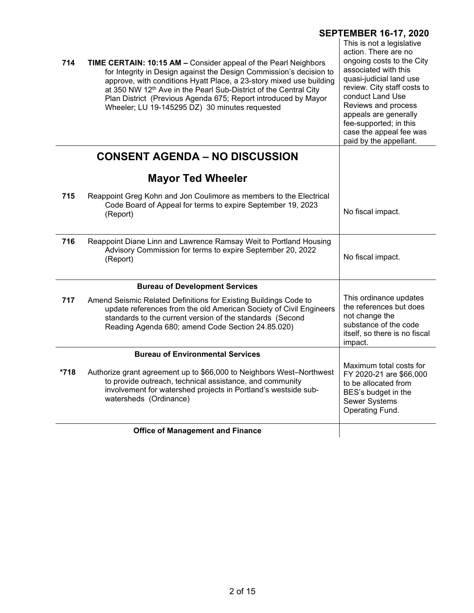|                                                                                                                                                                                                                                                                                                                                                                                                                          | <b>SEPTEMBER 16-17, 2020</b>                                                                                                                                                                                                                                                                                        |
|--------------------------------------------------------------------------------------------------------------------------------------------------------------------------------------------------------------------------------------------------------------------------------------------------------------------------------------------------------------------------------------------------------------------------|---------------------------------------------------------------------------------------------------------------------------------------------------------------------------------------------------------------------------------------------------------------------------------------------------------------------|
| 714<br>TIME CERTAIN: 10:15 AM - Consider appeal of the Pearl Neighbors<br>for Integrity in Design against the Design Commission's decision to<br>approve, with conditions Hyatt Place, a 23-story mixed use building<br>at 350 NW 12 <sup>th</sup> Ave in the Pearl Sub-District of the Central City<br>Plan District (Previous Agenda 675; Report introduced by Mayor<br>Wheeler; LU 19-145295 DZ) 30 minutes requested | This is not a legislative<br>action. There are no<br>ongoing costs to the City<br>associated with this<br>quasi-judicial land use<br>review. City staff costs to<br>conduct Land Use<br>Reviews and process<br>appeals are generally<br>fee-supported; in this<br>case the appeal fee was<br>paid by the appellant. |
| <b>CONSENT AGENDA - NO DISCUSSION</b>                                                                                                                                                                                                                                                                                                                                                                                    |                                                                                                                                                                                                                                                                                                                     |
| <b>Mayor Ted Wheeler</b>                                                                                                                                                                                                                                                                                                                                                                                                 |                                                                                                                                                                                                                                                                                                                     |
| 715<br>Reappoint Greg Kohn and Jon Coulimore as members to the Electrical<br>Code Board of Appeal for terms to expire September 19, 2023<br>(Report)                                                                                                                                                                                                                                                                     | No fiscal impact.                                                                                                                                                                                                                                                                                                   |
| 716<br>Reappoint Diane Linn and Lawrence Ramsay Weit to Portland Housing<br>Advisory Commission for terms to expire September 20, 2022<br>(Report)                                                                                                                                                                                                                                                                       | No fiscal impact.                                                                                                                                                                                                                                                                                                   |
| <b>Bureau of Development Services</b>                                                                                                                                                                                                                                                                                                                                                                                    |                                                                                                                                                                                                                                                                                                                     |
| 717<br>Amend Seismic Related Definitions for Existing Buildings Code to<br>update references from the old American Society of Civil Engineers<br>standards to the current version of the standards (Second<br>Reading Agenda 680; amend Code Section 24.85.020)                                                                                                                                                          | This ordinance updates<br>the references but does<br>not change the<br>substance of the code<br>itself, so there is no fiscal<br>impact.                                                                                                                                                                            |
| <b>Bureau of Environmental Services</b>                                                                                                                                                                                                                                                                                                                                                                                  |                                                                                                                                                                                                                                                                                                                     |
| Authorize grant agreement up to \$66,000 to Neighbors West-Northwest<br>*718<br>to provide outreach, technical assistance, and community<br>involvement for watershed projects in Portland's westside sub-<br>watersheds (Ordinance)                                                                                                                                                                                     | Maximum total costs for<br>FY 2020-21 are \$66,000<br>to be allocated from<br>BES's budget in the<br><b>Sewer Systems</b><br>Operating Fund.                                                                                                                                                                        |
|                                                                                                                                                                                                                                                                                                                                                                                                                          |                                                                                                                                                                                                                                                                                                                     |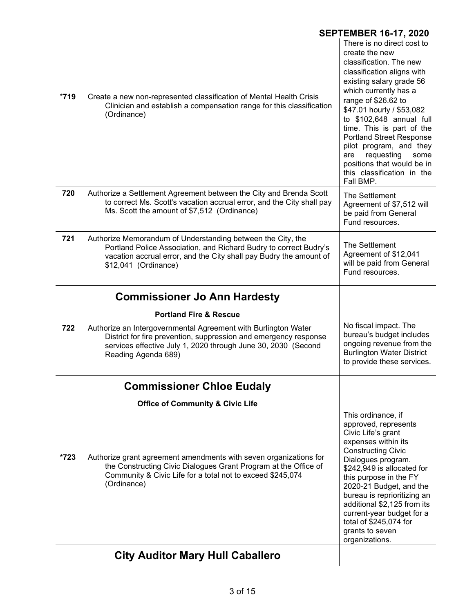|        |                                                                                                                                                                                                                                | <b>SEPTEMBER 16-17, 2020</b>                                                                                                                                                                                                                                                                                                                                                                                                                |
|--------|--------------------------------------------------------------------------------------------------------------------------------------------------------------------------------------------------------------------------------|---------------------------------------------------------------------------------------------------------------------------------------------------------------------------------------------------------------------------------------------------------------------------------------------------------------------------------------------------------------------------------------------------------------------------------------------|
| $*719$ | Create a new non-represented classification of Mental Health Crisis<br>Clinician and establish a compensation range for this classification<br>(Ordinance)                                                                     | There is no direct cost to<br>create the new<br>classification. The new<br>classification aligns with<br>existing salary grade 56<br>which currently has a<br>range of \$26.62 to<br>\$47.01 hourly / \$53,082<br>to \$102,648 annual full<br>time. This is part of the<br><b>Portland Street Response</b><br>pilot program, and they<br>requesting<br>are<br>some<br>positions that would be in<br>this classification in the<br>Fall BMP. |
| 720    | Authorize a Settlement Agreement between the City and Brenda Scott<br>to correct Ms. Scott's vacation accrual error, and the City shall pay<br>Ms. Scott the amount of \$7,512 (Ordinance)                                     | The Settlement<br>Agreement of \$7,512 will<br>be paid from General<br>Fund resources.                                                                                                                                                                                                                                                                                                                                                      |
| 721    | Authorize Memorandum of Understanding between the City, the<br>Portland Police Association, and Richard Budry to correct Budry's<br>vacation accrual error, and the City shall pay Budry the amount of<br>\$12,041 (Ordinance) | The Settlement<br>Agreement of \$12,041<br>will be paid from General<br>Fund resources.                                                                                                                                                                                                                                                                                                                                                     |
|        | <b>Commissioner Jo Ann Hardesty</b>                                                                                                                                                                                            |                                                                                                                                                                                                                                                                                                                                                                                                                                             |
|        | <b>Portland Fire &amp; Rescue</b>                                                                                                                                                                                              |                                                                                                                                                                                                                                                                                                                                                                                                                                             |
| 722    | Authorize an Intergovernmental Agreement with Burlington Water<br>District for fire prevention, suppression and emergency response<br>services effective July 1, 2020 through June 30, 2030 (Second<br>Reading Agenda 689)     | No fiscal impact. The<br>bureau's budget includes<br>ongoing revenue from the<br><b>Burlington Water District</b><br>to provide these services.                                                                                                                                                                                                                                                                                             |
|        | <b>Commissioner Chloe Eudaly</b>                                                                                                                                                                                               |                                                                                                                                                                                                                                                                                                                                                                                                                                             |
|        | <b>Office of Community &amp; Civic Life</b>                                                                                                                                                                                    |                                                                                                                                                                                                                                                                                                                                                                                                                                             |
| *723   | Authorize grant agreement amendments with seven organizations for<br>the Constructing Civic Dialogues Grant Program at the Office of<br>Community & Civic Life for a total not to exceed \$245,074<br>(Ordinance)              | This ordinance, if<br>approved, represents<br>Civic Life's grant<br>expenses within its<br><b>Constructing Civic</b><br>Dialogues program.<br>\$242,949 is allocated for<br>this purpose in the FY<br>2020-21 Budget, and the<br>bureau is reprioritizing an<br>additional \$2,125 from its<br>current-year budget for a<br>total of \$245,074 for<br>grants to seven<br>organizations.                                                     |
|        | <b>City Auditor Mary Hull Caballero</b>                                                                                                                                                                                        |                                                                                                                                                                                                                                                                                                                                                                                                                                             |
|        |                                                                                                                                                                                                                                |                                                                                                                                                                                                                                                                                                                                                                                                                                             |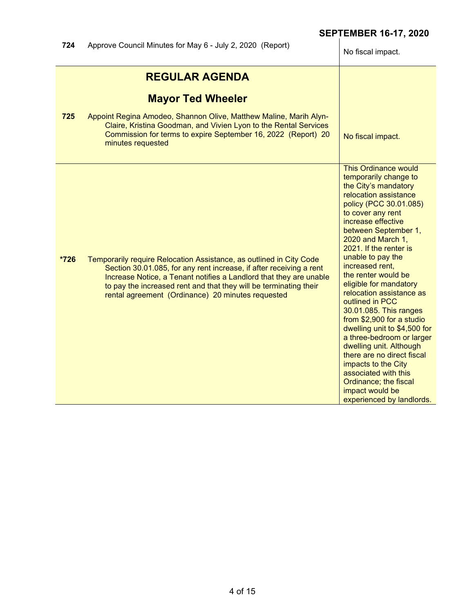| 724    | Approve Council Minutes for May 6 - July 2, 2020 (Report)                                                                                                                                                                                                                                                                                  | No fiscal impact.                                                                                                                                                                                                                                                                                                                                                                                                                                                                                                                                                                                                                                                                              |
|--------|--------------------------------------------------------------------------------------------------------------------------------------------------------------------------------------------------------------------------------------------------------------------------------------------------------------------------------------------|------------------------------------------------------------------------------------------------------------------------------------------------------------------------------------------------------------------------------------------------------------------------------------------------------------------------------------------------------------------------------------------------------------------------------------------------------------------------------------------------------------------------------------------------------------------------------------------------------------------------------------------------------------------------------------------------|
| 725    | <b>REGULAR AGENDA</b><br><b>Mayor Ted Wheeler</b><br>Appoint Regina Amodeo, Shannon Olive, Matthew Maline, Marih Alyn-<br>Claire, Kristina Goodman, and Vivien Lyon to the Rental Services<br>Commission for terms to expire September 16, 2022 (Report) 20<br>minutes requested                                                           | No fiscal impact.                                                                                                                                                                                                                                                                                                                                                                                                                                                                                                                                                                                                                                                                              |
| $*726$ | Temporarily require Relocation Assistance, as outlined in City Code<br>Section 30.01.085, for any rent increase, if after receiving a rent<br>Increase Notice, a Tenant notifies a Landlord that they are unable<br>to pay the increased rent and that they will be terminating their<br>rental agreement (Ordinance) 20 minutes requested | <b>This Ordinance would</b><br>temporarily change to<br>the City's mandatory<br>relocation assistance<br>policy (PCC 30.01.085)<br>to cover any rent<br>increase effective<br>between September 1,<br>2020 and March 1,<br>2021. If the renter is<br>unable to pay the<br>increased rent,<br>the renter would be<br>eligible for mandatory<br>relocation assistance as<br>outlined in PCC<br>30.01.085. This ranges<br>from \$2,900 for a studio<br>dwelling unit to \$4,500 for<br>a three-bedroom or larger<br>dwelling unit. Although<br>there are no direct fiscal<br>impacts to the City<br>associated with this<br>Ordinance; the fiscal<br>impact would be<br>experienced by landlords. |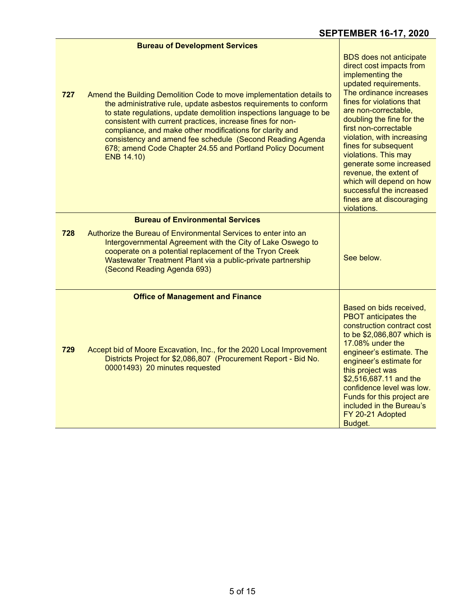|     | <b>Bureau of Development Services</b>                                                                                                                                                                                                                                                                                                                                                                                                                                                    |                                                                                                                                                                                                                                                                                                                                                                                                                                                                                      |
|-----|------------------------------------------------------------------------------------------------------------------------------------------------------------------------------------------------------------------------------------------------------------------------------------------------------------------------------------------------------------------------------------------------------------------------------------------------------------------------------------------|--------------------------------------------------------------------------------------------------------------------------------------------------------------------------------------------------------------------------------------------------------------------------------------------------------------------------------------------------------------------------------------------------------------------------------------------------------------------------------------|
| 727 | Amend the Building Demolition Code to move implementation details to<br>the administrative rule, update asbestos requirements to conform<br>to state regulations, update demolition inspections language to be<br>consistent with current practices, increase fines for non-<br>compliance, and make other modifications for clarity and<br>consistency and amend fee schedule (Second Reading Agenda<br>678; amend Code Chapter 24.55 and Portland Policy Document<br><b>ENB 14.10)</b> | <b>BDS</b> does not anticipate<br>direct cost impacts from<br>implementing the<br>updated requirements.<br>The ordinance increases<br>fines for violations that<br>are non-correctable,<br>doubling the fine for the<br>first non-correctable<br>violation, with increasing<br>fines for subsequent<br>violations. This may<br>generate some increased<br>revenue, the extent of<br>which will depend on how<br>successful the increased<br>fines are at discouraging<br>violations. |
|     | <b>Bureau of Environmental Services</b>                                                                                                                                                                                                                                                                                                                                                                                                                                                  |                                                                                                                                                                                                                                                                                                                                                                                                                                                                                      |
| 728 | Authorize the Bureau of Environmental Services to enter into an<br>Intergovernmental Agreement with the City of Lake Oswego to<br>cooperate on a potential replacement of the Tryon Creek<br>Wastewater Treatment Plant via a public-private partnership<br>(Second Reading Agenda 693)                                                                                                                                                                                                  | See below.                                                                                                                                                                                                                                                                                                                                                                                                                                                                           |
|     | <b>Office of Management and Finance</b>                                                                                                                                                                                                                                                                                                                                                                                                                                                  |                                                                                                                                                                                                                                                                                                                                                                                                                                                                                      |
| 729 | Accept bid of Moore Excavation, Inc., for the 2020 Local Improvement<br>Districts Project for \$2,086,807 (Procurement Report - Bid No.<br>00001493) 20 minutes requested                                                                                                                                                                                                                                                                                                                | Based on bids received,<br><b>PBOT</b> anticipates the<br>construction contract cost<br>to be \$2,086,807 which is<br>17.08% under the<br>engineer's estimate. The<br>engineer's estimate for<br>this project was<br>\$2,516,687.11 and the<br>confidence level was low.<br>Funds for this project are<br>included in the Bureau's<br>FY 20-21 Adopted<br>Budget.                                                                                                                    |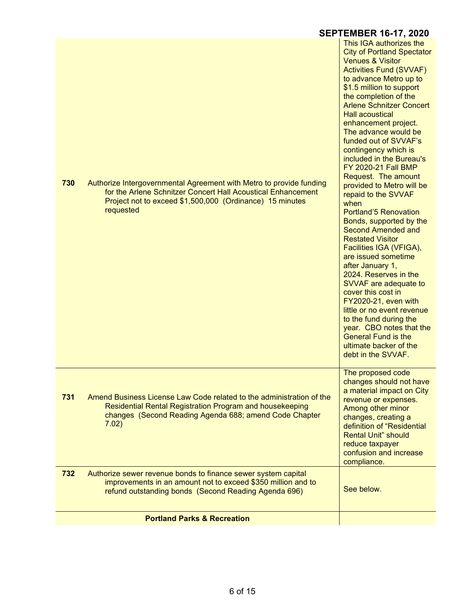|     |                                                                                                                                                                                                              | <b>SEPTEMBER 16-17, 2020</b>                                                                                                                                                                                                                                                                                                                                                                                                                                                                                                                                                                                                                                                                                                                                                                                                                                                                                                                                                |
|-----|--------------------------------------------------------------------------------------------------------------------------------------------------------------------------------------------------------------|-----------------------------------------------------------------------------------------------------------------------------------------------------------------------------------------------------------------------------------------------------------------------------------------------------------------------------------------------------------------------------------------------------------------------------------------------------------------------------------------------------------------------------------------------------------------------------------------------------------------------------------------------------------------------------------------------------------------------------------------------------------------------------------------------------------------------------------------------------------------------------------------------------------------------------------------------------------------------------|
| 730 | Authorize Intergovernmental Agreement with Metro to provide funding<br>for the Arlene Schnitzer Concert Hall Acoustical Enhancement<br>Project not to exceed \$1,500,000 (Ordinance) 15 minutes<br>requested | This IGA authorizes the<br><b>City of Portland Spectator</b><br><b>Venues &amp; Visitor</b><br><b>Activities Fund (SVVAF)</b><br>to advance Metro up to<br>\$1.5 million to support<br>the completion of the<br><b>Arlene Schnitzer Concert</b><br><b>Hall acoustical</b><br>enhancement project.<br>The advance would be<br>funded out of SVVAF's<br>contingency which is<br>included in the Bureau's<br>FY 2020-21 Fall BMP<br>Request. The amount<br>provided to Metro will be<br>repaid to the SVVAF<br>when<br><b>Portland'5 Renovation</b><br>Bonds, supported by the<br><b>Second Amended and</b><br><b>Restated Visitor</b><br>Facilities IGA (VFIGA),<br>are issued sometime<br>after January 1,<br>2024. Reserves in the<br>SVVAF are adequate to<br>cover this cost in<br>FY2020-21, even with<br>little or no event revenue<br>to the fund during the<br>year. CBO notes that the<br><b>General Fund is the</b><br>ultimate backer of the<br>debt in the SVVAF. |
| 731 | Amend Business License Law Code related to the administration of the<br>Residential Rental Registration Program and housekeeping<br>changes (Second Reading Agenda 688; amend Code Chapter<br>7.02)          | The proposed code<br>changes should not have<br>a material impact on City<br>revenue or expenses.<br>Among other minor<br>changes, creating a<br>definition of "Residential<br><b>Rental Unit" should</b><br>reduce taxpayer<br>confusion and increase<br>compliance.                                                                                                                                                                                                                                                                                                                                                                                                                                                                                                                                                                                                                                                                                                       |
| 732 | Authorize sewer revenue bonds to finance sewer system capital<br>improvements in an amount not to exceed \$350 million and to<br>refund outstanding bonds (Second Reading Agenda 696)                        | See below.                                                                                                                                                                                                                                                                                                                                                                                                                                                                                                                                                                                                                                                                                                                                                                                                                                                                                                                                                                  |
|     | <b>Portland Parks &amp; Recreation</b>                                                                                                                                                                       |                                                                                                                                                                                                                                                                                                                                                                                                                                                                                                                                                                                                                                                                                                                                                                                                                                                                                                                                                                             |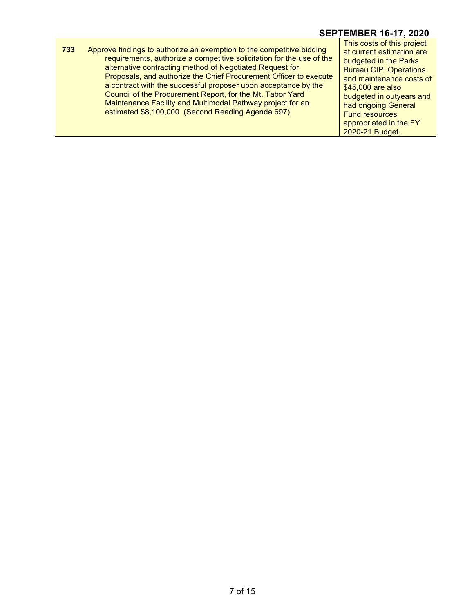**733** Approve findings to authorize an exemption to the competitive bidding requirements, authorize a competitive solicitation for the use of the alternative contracting method of Negotiated Request for Proposals, and authorize the Chief Procurement Officer to execute a contract with the successful proposer upon acceptance by the Council of the Procurement Report, for the Mt. Tabor Yard Maintenance Facility and Multimodal Pathway project for an estimated \$8,100,000 (Second Reading Agenda 697)

This costs of this project at current estimation are budgeted in the Parks Bureau CIP. Operations and maintenance costs of \$45,000 are also budgeted in outyears and had ongoing General Fund resources appropriated in the FY 2020-21 Budget.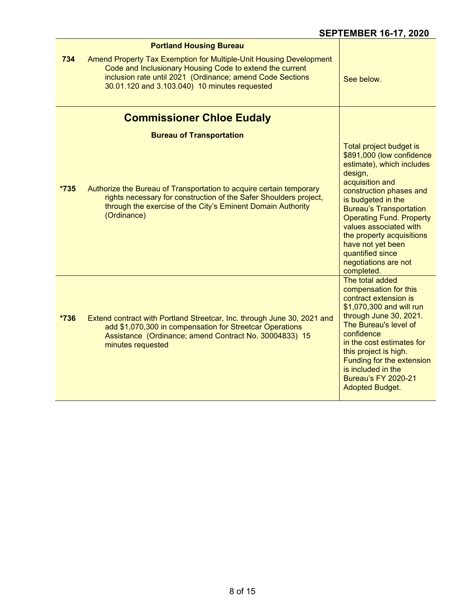|        | <b>Portland Housing Bureau</b>                                                                                                                                                                                                               |                                                                                                                                                                                                                                                                                                                                                                             |
|--------|----------------------------------------------------------------------------------------------------------------------------------------------------------------------------------------------------------------------------------------------|-----------------------------------------------------------------------------------------------------------------------------------------------------------------------------------------------------------------------------------------------------------------------------------------------------------------------------------------------------------------------------|
| 734    | Amend Property Tax Exemption for Multiple-Unit Housing Development<br>Code and Inclusionary Housing Code to extend the current<br>inclusion rate until 2021 (Ordinance; amend Code Sections<br>30.01.120 and 3.103.040) 10 minutes requested | See below.                                                                                                                                                                                                                                                                                                                                                                  |
|        | <b>Commissioner Chloe Eudaly</b>                                                                                                                                                                                                             |                                                                                                                                                                                                                                                                                                                                                                             |
|        | <b>Bureau of Transportation</b>                                                                                                                                                                                                              |                                                                                                                                                                                                                                                                                                                                                                             |
| $*735$ | Authorize the Bureau of Transportation to acquire certain temporary<br>rights necessary for construction of the Safer Shoulders project,<br>through the exercise of the City's Eminent Domain Authority<br>(Ordinance)                       | Total project budget is<br>\$891,000 (low confidence<br>estimate), which includes<br>design,<br>acquisition and<br>construction phases and<br>is budgeted in the<br><b>Bureau's Transportation</b><br><b>Operating Fund. Property</b><br>values associated with<br>the property acquisitions<br>have not yet been<br>quantified since<br>negotiations are not<br>completed. |
| $*736$ | Extend contract with Portland Streetcar, Inc. through June 30, 2021 and<br>add \$1,070,300 in compensation for Streetcar Operations<br>Assistance (Ordinance; amend Contract No. 30004833) 15<br>minutes requested                           | The total added<br>compensation for this<br>contract extension is<br>\$1,070,300 and will run<br>through June 30, 2021.<br>The Bureau's level of<br>confidence<br>in the cost estimates for<br>this project is high.<br>Funding for the extension<br>is included in the<br><b>Bureau's FY 2020-21</b><br><b>Adopted Budget.</b>                                             |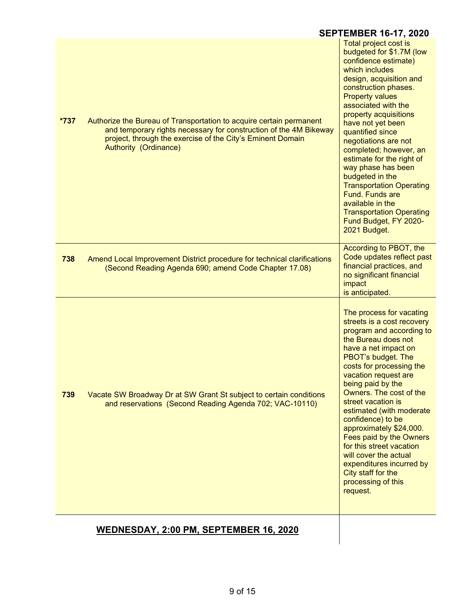| $*737$ | Authorize the Bureau of Transportation to acquire certain permanent<br>and temporary rights necessary for construction of the 4M Bikeway<br>project, through the exercise of the City's Eminent Domain<br><b>Authority (Ordinance)</b> | Total project cost is<br>budgeted for \$1.7M (low<br>confidence estimate)<br>which includes<br>design, acquisition and<br>construction phases.<br><b>Property values</b><br>associated with the<br>property acquisitions<br>have not yet been<br>quantified since<br>negotiations are not<br>completed; however, an<br>estimate for the right of                                                                                                                                                                                  |
|--------|----------------------------------------------------------------------------------------------------------------------------------------------------------------------------------------------------------------------------------------|-----------------------------------------------------------------------------------------------------------------------------------------------------------------------------------------------------------------------------------------------------------------------------------------------------------------------------------------------------------------------------------------------------------------------------------------------------------------------------------------------------------------------------------|
|        |                                                                                                                                                                                                                                        | way phase has been<br>budgeted in the<br><b>Transportation Operating</b><br><b>Fund. Funds are</b><br>available in the<br><b>Transportation Operating</b><br>Fund Budget, FY 2020-<br>2021 Budget.                                                                                                                                                                                                                                                                                                                                |
| 738    | Amend Local Improvement District procedure for technical clarifications<br>(Second Reading Agenda 690; amend Code Chapter 17.08)                                                                                                       | According to PBOT, the<br>Code updates reflect past<br>financial practices, and<br>no significant financial<br>impact<br>is anticipated.                                                                                                                                                                                                                                                                                                                                                                                          |
| 739    | Vacate SW Broadway Dr at SW Grant St subject to certain conditions<br>and reservations (Second Reading Agenda 702; VAC-10110)                                                                                                          | The process for vacating<br>streets is a cost recovery<br>program and according to<br>the Bureau does not<br>have a net impact on<br>PBOT's budget. The<br>costs for processing the<br>vacation request are<br>being paid by the<br>Owners. The cost of the<br>street vacation is<br>estimated (with moderate<br>confidence) to be<br>approximately \$24,000.<br>Fees paid by the Owners<br>for this street vacation<br>will cover the actual<br>expenditures incurred by<br>City staff for the<br>processing of this<br>request. |
|        | WEDNESDAY, 2:00 PM, SEPTEMBER 16, 2020                                                                                                                                                                                                 |                                                                                                                                                                                                                                                                                                                                                                                                                                                                                                                                   |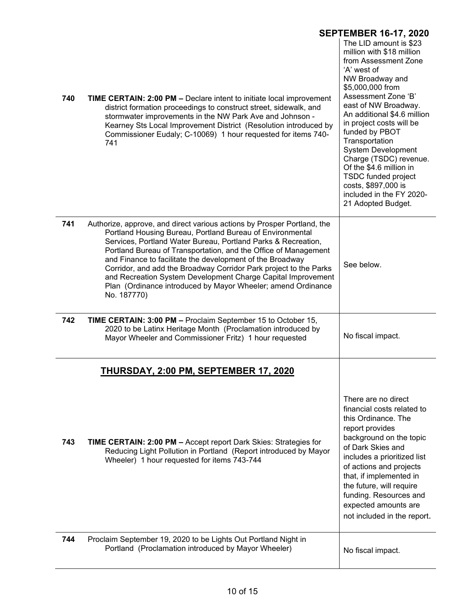|     | <b>SEPTEMBER 16-17, 2020</b>                                                                                                                                                                                                                                                                                                                                                                                                                                                                                                                              |                                                                                                                                                                                                                                                                                                                                                                                                                                                                          |  |
|-----|-----------------------------------------------------------------------------------------------------------------------------------------------------------------------------------------------------------------------------------------------------------------------------------------------------------------------------------------------------------------------------------------------------------------------------------------------------------------------------------------------------------------------------------------------------------|--------------------------------------------------------------------------------------------------------------------------------------------------------------------------------------------------------------------------------------------------------------------------------------------------------------------------------------------------------------------------------------------------------------------------------------------------------------------------|--|
| 740 | <b>TIME CERTAIN: 2:00 PM - Declare intent to initiate local improvement</b><br>district formation proceedings to construct street, sidewalk, and<br>stormwater improvements in the NW Park Ave and Johnson -<br>Kearney Sts Local Improvement District (Resolution introduced by<br>Commissioner Eudaly; C-10069) 1 hour requested for items 740-<br>741                                                                                                                                                                                                  | The LID amount is \$23<br>million with \$18 million<br>from Assessment Zone<br>'A' west of<br>NW Broadway and<br>\$5,000,000 from<br>Assessment Zone 'B'<br>east of NW Broadway.<br>An additional \$4.6 million<br>in project costs will be<br>funded by PBOT<br>Transportation<br><b>System Development</b><br>Charge (TSDC) revenue.<br>Of the \$4.6 million in<br><b>TSDC funded project</b><br>costs, \$897,000 is<br>included in the FY 2020-<br>21 Adopted Budget. |  |
| 741 | Authorize, approve, and direct various actions by Prosper Portland, the<br>Portland Housing Bureau, Portland Bureau of Environmental<br>Services, Portland Water Bureau, Portland Parks & Recreation,<br>Portland Bureau of Transportation, and the Office of Management<br>and Finance to facilitate the development of the Broadway<br>Corridor, and add the Broadway Corridor Park project to the Parks<br>and Recreation System Development Charge Capital Improvement<br>Plan (Ordinance introduced by Mayor Wheeler; amend Ordinance<br>No. 187770) | See below.                                                                                                                                                                                                                                                                                                                                                                                                                                                               |  |
| 742 | TIME CERTAIN: 3:00 PM - Proclaim September 15 to October 15,<br>2020 to be Latinx Heritage Month (Proclamation introduced by<br>Mayor Wheeler and Commissioner Fritz) 1 hour requested                                                                                                                                                                                                                                                                                                                                                                    | No fiscal impact.                                                                                                                                                                                                                                                                                                                                                                                                                                                        |  |
|     | <b>THURSDAY, 2:00 PM, SEPTEMBER 17, 2020</b>                                                                                                                                                                                                                                                                                                                                                                                                                                                                                                              |                                                                                                                                                                                                                                                                                                                                                                                                                                                                          |  |
| 743 | TIME CERTAIN: 2:00 PM - Accept report Dark Skies: Strategies for<br>Reducing Light Pollution in Portland (Report introduced by Mayor<br>Wheeler) 1 hour requested for items 743-744                                                                                                                                                                                                                                                                                                                                                                       | There are no direct<br>financial costs related to<br>this Ordinance. The<br>report provides<br>background on the topic<br>of Dark Skies and<br>includes a prioritized list<br>of actions and projects<br>that, if implemented in<br>the future, will require<br>funding. Resources and<br>expected amounts are<br>not included in the report.                                                                                                                            |  |
| 744 | Proclaim September 19, 2020 to be Lights Out Portland Night in<br>Portland (Proclamation introduced by Mayor Wheeler)                                                                                                                                                                                                                                                                                                                                                                                                                                     | No fiscal impact.                                                                                                                                                                                                                                                                                                                                                                                                                                                        |  |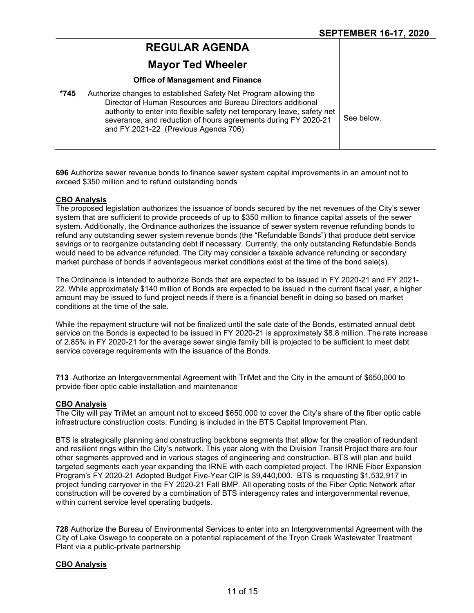# **REGULAR AGENDA**

# **Mayor Ted Wheeler**

### **Office of Management and Finance**

| *745 | Authorize changes to established Safety Net Program allowing the<br>Director of Human Resources and Bureau Directors additional<br>authority to enter into flexible safety net temporary leave, safety net<br>severance, and reduction of hours agreements during FY 2020-21<br>and FY 2021-22 (Previous Agenda 706) | See below. |
|------|----------------------------------------------------------------------------------------------------------------------------------------------------------------------------------------------------------------------------------------------------------------------------------------------------------------------|------------|
|      |                                                                                                                                                                                                                                                                                                                      |            |

**696** Authorize sewer revenue bonds to finance sewer system capital improvements in an amount not to exceed \$350 million and to refund outstanding bonds

#### **CBO Analysis**

The proposed legislation authorizes the issuance of bonds secured by the net revenues of the City's sewer system that are sufficient to provide proceeds of up to \$350 million to finance capital assets of the sewer system. Additionally, the Ordinance authorizes the issuance of sewer system revenue refunding bonds to refund any outstanding sewer system revenue bonds (the "Refundable Bonds") that produce debt service savings or to reorganize outstanding debt if necessary. Currently, the only outstanding Refundable Bonds would need to be advance refunded. The City may consider a taxable advance refunding or secondary market purchase of bonds if advantageous market conditions exist at the time of the bond sale(s).

The Ordinance is intended to authorize Bonds that are expected to be issued in FY 2020-21 and FY 2021- 22. While approximately \$140 million of Bonds are expected to be issued in the current fiscal year, a higher amount may be issued to fund project needs if there is a financial benefit in doing so based on market conditions at the time of the sale.

While the repayment structure will not be finalized until the sale date of the Bonds, estimated annual debt service on the Bonds is expected to be issued in FY 2020-21 is approximately \$8.8 million. The rate increase of 2.85% in FY 2020-21 for the average sewer single family bill is projected to be sufficient to meet debt service coverage requirements with the issuance of the Bonds.

**713** Authorize an Intergovernmental Agreement with TriMet and the City in the amount of \$650,000 to provide fiber optic cable installation and maintenance

## **CBO Analysis**

The City will pay TriMet an amount not to exceed \$650,000 to cover the City's share of the fiber optic cable infrastructure construction costs. Funding is included in the BTS Capital Improvement Plan.

BTS is strategically planning and constructing backbone segments that allow for the creation of redundant and resilient rings within the City's network. This year along with the Division Transit Project there are four other segments approved and in various stages of engineering and construction. BTS will plan and build targeted segments each year expanding the IRNE with each completed project. The IRNE Fiber Expansion Program's FY 2020-21 Adopted Budget Five-Year CIP is \$9,440,000. BTS is requesting \$1,532,917 in project funding carryover in the FY 2020-21 Fall BMP. All operating costs of the Fiber Optic Network after construction will be covered by a combination of BTS interagency rates and intergovernmental revenue, within current service level operating budgets.

**728** Authorize the Bureau of Environmental Services to enter into an Intergovernmental Agreement with the City of Lake Oswego to cooperate on a potential replacement of the Tryon Creek Wastewater Treatment Plant via a public-private partnership

#### **CBO Analysis**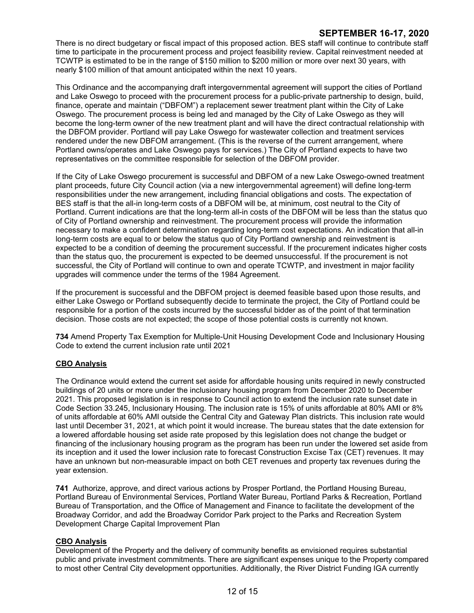There is no direct budgetary or fiscal impact of this proposed action. BES staff will continue to contribute staff time to participate in the procurement process and project feasibility review. Capital reinvestment needed at TCWTP is estimated to be in the range of \$150 million to \$200 million or more over next 30 years, with nearly \$100 million of that amount anticipated within the next 10 years.

This Ordinance and the accompanying draft intergovernmental agreement will support the cities of Portland and Lake Oswego to proceed with the procurement process for a public-private partnership to design, build, finance, operate and maintain ("DBFOM") a replacement sewer treatment plant within the City of Lake Oswego. The procurement process is being led and managed by the City of Lake Oswego as they will become the long-term owner of the new treatment plant and will have the direct contractual relationship with the DBFOM provider. Portland will pay Lake Oswego for wastewater collection and treatment services rendered under the new DBFOM arrangement. (This is the reverse of the current arrangement, where Portland owns/operates and Lake Oswego pays for services.) The City of Portland expects to have two representatives on the committee responsible for selection of the DBFOM provider.

If the City of Lake Oswego procurement is successful and DBFOM of a new Lake Oswego-owned treatment plant proceeds, future City Council action (via a new intergovernmental agreement) will define long-term responsibilities under the new arrangement, including financial obligations and costs. The expectation of BES staff is that the all-in long-term costs of a DBFOM will be, at minimum, cost neutral to the City of Portland. Current indications are that the long-term all-in costs of the DBFOM will be less than the status quo of City of Portland ownership and reinvestment. The procurement process will provide the information necessary to make a confident determination regarding long-term cost expectations. An indication that all-in long-term costs are equal to or below the status quo of City Portland ownership and reinvestment is expected to be a condition of deeming the procurement successful. If the procurement indicates higher costs than the status quo, the procurement is expected to be deemed unsuccessful. If the procurement is not successful, the City of Portland will continue to own and operate TCWTP, and investment in major facility upgrades will commence under the terms of the 1984 Agreement.

If the procurement is successful and the DBFOM project is deemed feasible based upon those results, and either Lake Oswego or Portland subsequently decide to terminate the project, the City of Portland could be responsible for a portion of the costs incurred by the successful bidder as of the point of that termination decision. Those costs are not expected; the scope of those potential costs is currently not known.

**734** Amend Property Tax Exemption for Multiple-Unit Housing Development Code and Inclusionary Housing Code to extend the current inclusion rate until 2021

## **CBO Analysis**

The Ordinance would extend the current set aside for affordable housing units required in newly constructed buildings of 20 units or more under the inclusionary housing program from December 2020 to December 2021. This proposed legislation is in response to Council action to extend the inclusion rate sunset date in Code Section 33.245, Inclusionary Housing. The inclusion rate is 15% of units affordable at 80% AMI or 8% of units affordable at 60% AMI outside the Central City and Gateway Plan districts. This inclusion rate would last until December 31, 2021, at which point it would increase. The bureau states that the date extension for a lowered affordable housing set aside rate proposed by this legislation does not change the budget or financing of the inclusionary housing program as the program has been run under the lowered set aside from its inception and it used the lower inclusion rate to forecast Construction Excise Tax (CET) revenues. It may have an unknown but non-measurable impact on both CET revenues and property tax revenues during the year extension.

**741** Authorize, approve, and direct various actions by Prosper Portland, the Portland Housing Bureau, Portland Bureau of Environmental Services, Portland Water Bureau, Portland Parks & Recreation, Portland Bureau of Transportation, and the Office of Management and Finance to facilitate the development of the Broadway Corridor, and add the Broadway Corridor Park project to the Parks and Recreation System Development Charge Capital Improvement Plan

#### **CBO Analysis**

Development of the Property and the delivery of community benefits as envisioned requires substantial public and private investment commitments. There are significant expenses unique to the Property compared to most other Central City development opportunities. Additionally, the River District Funding IGA currently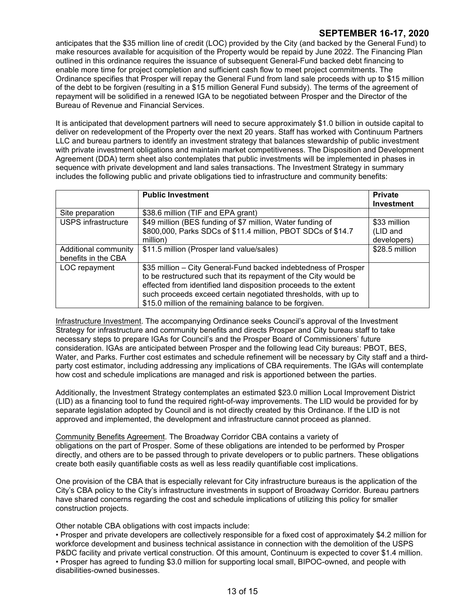anticipates that the \$35 million line of credit (LOC) provided by the City (and backed by the General Fund) to make resources available for acquisition of the Property would be repaid by June 2022. The Financing Plan outlined in this ordinance requires the issuance of subsequent General-Fund backed debt financing to enable more time for project completion and sufficient cash flow to meet project commitments. The Ordinance specifies that Prosper will repay the General Fund from land sale proceeds with up to \$15 million of the debt to be forgiven (resulting in a \$15 million General Fund subsidy). The terms of the agreement of repayment will be solidified in a renewed IGA to be negotiated between Prosper and the Director of the Bureau of Revenue and Financial Services.

It is anticipated that development partners will need to secure approximately \$1.0 billion in outside capital to deliver on redevelopment of the Property over the next 20 years. Staff has worked with Continuum Partners LLC and bureau partners to identify an investment strategy that balances stewardship of public investment with private investment obligations and maintain market competitiveness. The Disposition and Development Agreement (DDA) term sheet also contemplates that public investments will be implemented in phases in sequence with private development and land sales transactions. The Investment Strategy in summary includes the following public and private obligations tied to infrastructure and community benefits:

|                                             | <b>Public Investment</b>                                                                                                                                                                                                                                                                                                            | <b>Private</b><br><b>Investment</b>     |
|---------------------------------------------|-------------------------------------------------------------------------------------------------------------------------------------------------------------------------------------------------------------------------------------------------------------------------------------------------------------------------------------|-----------------------------------------|
| Site preparation                            | \$38.6 million (TIF and EPA grant)                                                                                                                                                                                                                                                                                                  |                                         |
| <b>USPS</b> infrastructure                  | \$49 million (BES funding of \$7 million, Water funding of<br>\$800,000, Parks SDCs of \$11.4 million, PBOT SDCs of \$14.7<br>million)                                                                                                                                                                                              | \$33 million<br>(LID and<br>developers) |
| Additional community<br>benefits in the CBA | \$11.5 million (Prosper land value/sales)                                                                                                                                                                                                                                                                                           | \$28.5 million                          |
| LOC repayment                               | \$35 million – City General-Fund backed indebtedness of Prosper<br>to be restructured such that its repayment of the City would be<br>effected from identified land disposition proceeds to the extent<br>such proceeds exceed certain negotiated thresholds, with up to<br>\$15.0 million of the remaining balance to be forgiven. |                                         |

Infrastructure Investment. The accompanying Ordinance seeks Council's approval of the Investment Strategy for infrastructure and community benefits and directs Prosper and City bureau staff to take necessary steps to prepare IGAs for Council's and the Prosper Board of Commissioners' future consideration. IGAs are anticipated between Prosper and the following lead City bureaus: PBOT, BES, Water, and Parks. Further cost estimates and schedule refinement will be necessary by City staff and a thirdparty cost estimator, including addressing any implications of CBA requirements. The IGAs will contemplate how cost and schedule implications are managed and risk is apportioned between the parties.

Additionally, the Investment Strategy contemplates an estimated \$23.0 million Local Improvement District (LID) as a financing tool to fund the required right-of-way improvements. The LID would be provided for by separate legislation adopted by Council and is not directly created by this Ordinance. If the LID is not approved and implemented, the development and infrastructure cannot proceed as planned.

Community Benefits Agreement. The Broadway Corridor CBA contains a variety of obligations on the part of Prosper. Some of these obligations are intended to be performed by Prosper directly, and others are to be passed through to private developers or to public partners. These obligations create both easily quantifiable costs as well as less readily quantifiable cost implications.

One provision of the CBA that is especially relevant for City infrastructure bureaus is the application of the City's CBA policy to the City's infrastructure investments in support of Broadway Corridor. Bureau partners have shared concerns regarding the cost and schedule implications of utilizing this policy for smaller construction projects.

Other notable CBA obligations with cost impacts include:

• Prosper and private developers are collectively responsible for a fixed cost of approximately \$4.2 million for workforce development and business technical assistance in connection with the demolition of the USPS P&DC facility and private vertical construction. Of this amount, Continuum is expected to cover \$1.4 million. • Prosper has agreed to funding \$3.0 million for supporting local small, BIPOC-owned, and people with disabilities-owned businesses.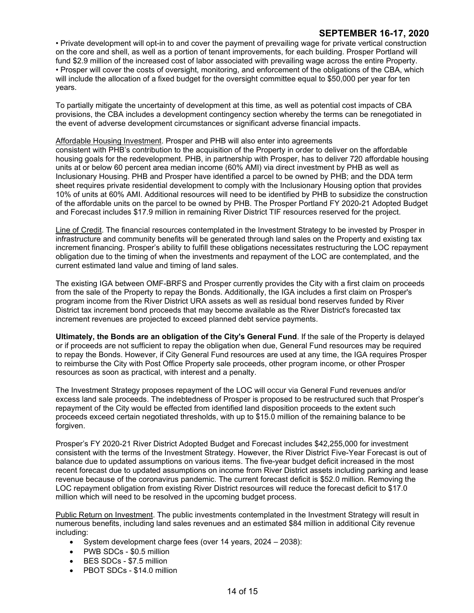• Private development will opt-in to and cover the payment of prevailing wage for private vertical construction on the core and shell, as well as a portion of tenant improvements, for each building. Prosper Portland will fund \$2.9 million of the increased cost of labor associated with prevailing wage across the entire Property. • Prosper will cover the costs of oversight, monitoring, and enforcement of the obligations of the CBA, which will include the allocation of a fixed budget for the oversight committee equal to \$50,000 per year for ten years.

To partially mitigate the uncertainty of development at this time, as well as potential cost impacts of CBA provisions, the CBA includes a development contingency section whereby the terms can be renegotiated in the event of adverse development circumstances or significant adverse financial impacts.

### Affordable Housing Investment. Prosper and PHB will also enter into agreements

consistent with PHB's contribution to the acquisition of the Property in order to deliver on the affordable housing goals for the redevelopment. PHB, in partnership with Prosper, has to deliver 720 affordable housing units at or below 60 percent area median income (60% AMI) via direct investment by PHB as well as Inclusionary Housing. PHB and Prosper have identified a parcel to be owned by PHB; and the DDA term sheet requires private residential development to comply with the Inclusionary Housing option that provides 10% of units at 60% AMI. Additional resources will need to be identified by PHB to subsidize the construction of the affordable units on the parcel to be owned by PHB. The Prosper Portland FY 2020-21 Adopted Budget and Forecast includes \$17.9 million in remaining River District TIF resources reserved for the project.

Line of Credit. The financial resources contemplated in the Investment Strategy to be invested by Prosper in infrastructure and community benefits will be generated through land sales on the Property and existing tax increment financing. Prosper's ability to fulfill these obligations necessitates restructuring the LOC repayment obligation due to the timing of when the investments and repayment of the LOC are contemplated, and the current estimated land value and timing of land sales.

The existing IGA between OMF-BRFS and Prosper currently provides the City with a first claim on proceeds from the sale of the Property to repay the Bonds. Additionally, the IGA includes a first claim on Prosper's program income from the River District URA assets as well as residual bond reserves funded by River District tax increment bond proceeds that may become available as the River District's forecasted tax increment revenues are projected to exceed planned debt service payments.

**Ultimately, the Bonds are an obligation of the City's General Fund**. If the sale of the Property is delayed or if proceeds are not sufficient to repay the obligation when due, General Fund resources may be required to repay the Bonds. However, if City General Fund resources are used at any time, the IGA requires Prosper to reimburse the City with Post Office Property sale proceeds, other program income, or other Prosper resources as soon as practical, with interest and a penalty.

The Investment Strategy proposes repayment of the LOC will occur via General Fund revenues and/or excess land sale proceeds. The indebtedness of Prosper is proposed to be restructured such that Prosper's repayment of the City would be effected from identified land disposition proceeds to the extent such proceeds exceed certain negotiated thresholds, with up to \$15.0 million of the remaining balance to be forgiven.

Prosper's FY 2020-21 River District Adopted Budget and Forecast includes \$42,255,000 for investment consistent with the terms of the Investment Strategy. However, the River District Five-Year Forecast is out of balance due to updated assumptions on various items. The five-year budget deficit increased in the most recent forecast due to updated assumptions on income from River District assets including parking and lease revenue because of the coronavirus pandemic. The current forecast deficit is \$52.0 million. Removing the LOC repayment obligation from existing River District resources will reduce the forecast deficit to \$17.0 million which will need to be resolved in the upcoming budget process.

Public Return on Investment. The public investments contemplated in the Investment Strategy will result in numerous benefits, including land sales revenues and an estimated \$84 million in additional City revenue including:

- System development charge fees (over 14 years, 2024 2038):
- PWB SDCs \$0.5 million
- BES SDCs \$7.5 million
- PBOT SDCs \$14.0 million